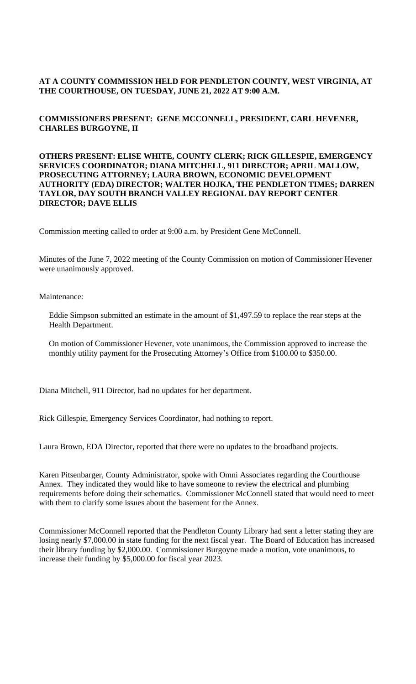## **AT A COUNTY COMMISSION HELD FOR PENDLETON COUNTY, WEST VIRGINIA, AT THE COURTHOUSE, ON TUESDAY, JUNE 21, 2022 AT 9:00 A.M.**

## **COMMISSIONERS PRESENT: GENE MCCONNELL, PRESIDENT, CARL HEVENER, CHARLES BURGOYNE, II**

#### **OTHERS PRESENT: ELISE WHITE, COUNTY CLERK; RICK GILLESPIE, EMERGENCY SERVICES COORDINATOR; DIANA MITCHELL, 911 DIRECTOR; APRIL MALLOW, PROSECUTING ATTORNEY; LAURA BROWN, ECONOMIC DEVELOPMENT AUTHORITY (EDA) DIRECTOR; WALTER HOJKA, THE PENDLETON TIMES; DARREN TAYLOR, DAY SOUTH BRANCH VALLEY REGIONAL DAY REPORT CENTER DIRECTOR; DAVE ELLIS**

Commission meeting called to order at 9:00 a.m. by President Gene McConnell.

Minutes of the June 7, 2022 meeting of the County Commission on motion of Commissioner Hevener were unanimously approved.

Maintenance:

Eddie Simpson submitted an estimate in the amount of \$1,497.59 to replace the rear steps at the Health Department.

On motion of Commissioner Hevener, vote unanimous, the Commission approved to increase the monthly utility payment for the Prosecuting Attorney's Office from \$100.00 to \$350.00.

Diana Mitchell, 911 Director, had no updates for her department.

Rick Gillespie, Emergency Services Coordinator, had nothing to report.

Laura Brown, EDA Director, reported that there were no updates to the broadband projects.

Karen Pitsenbarger, County Administrator, spoke with Omni Associates regarding the Courthouse Annex. They indicated they would like to have someone to review the electrical and plumbing requirements before doing their schematics. Commissioner McConnell stated that would need to meet with them to clarify some issues about the basement for the Annex.

Commissioner McConnell reported that the Pendleton County Library had sent a letter stating they are losing nearly \$7,000.00 in state funding for the next fiscal year. The Board of Education has increased their library funding by \$2,000.00. Commissioner Burgoyne made a motion, vote unanimous, to increase their funding by \$5,000.00 for fiscal year 2023.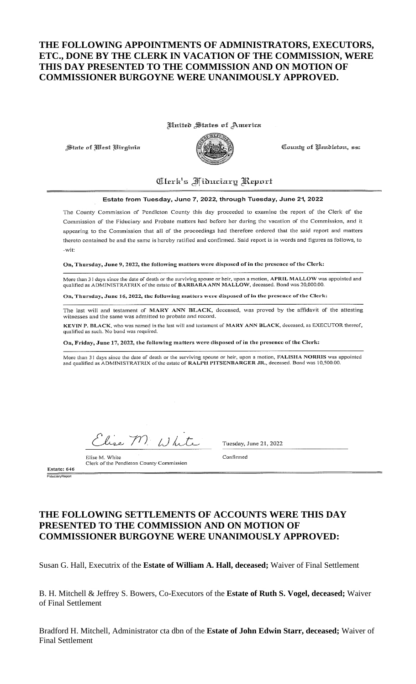# THE FOLLOWING APPOINTMENTS OF ADMINISTRATORS, EXECUTORS, ETC., DONE BY THE CLERK IN VACATION OF THE COMMISSION, WERE THIS DAY PRESENTED TO THE COMMISSION AND ON MOTION OF **COMMISSIONER BURGOYNE WERE UNANIMOUSLY APPROVED.**

United States of America

State of West Birginia



County of Pendleton, ss:

# Clerk's Fiductary Report

#### Estate from Tuesday, June 7, 2022, through Tuesday, June 21, 2022

The County Commission of Pendleton County this day proceeded to examine the report of the Clerk of the Commission of the Fiduciary and Probate matters had before her during the vacation of the Commission, and it appearing to the Commission that all of the proceedings had therefore ordered that the said report and matters thereto contained be and the same is hereby ratified and confirmed. Said report is in words and figures as follows, to  $-w$ it

On, Thursday, June 9, 2022, the following matters were disposed of in the presence of the Clerk:

More than 31 days since the date of death or the surviving spouse or heir, upon a motion, APRIL MALLOW was appointed and<br>qualified as ADMINISTRATRIX of the estate of BARBARA ANN MALLOW, deceased. Bond was 20,000.00.

On, Thursday, June 16, 2022, the following matters were disposed of in the presence of the Clerk:

The last will and testament of MARY ANN BLACK, deceased, was proved by the affidavit of the attesting witnesses and the same was admitted to probate and record.

KEVIN P. BLACK, who was named in the last will and testament of MARY ANN BLACK, deceased, as EXECUTOR thereof, qualified as such. No bond was required.

On, Friday, June 17, 2022, the following matters were disposed of in the presence of the Clerk:

More than 31 days since the date of death or the surviving spouse or heir, upon a motion, FALISHA NORRIS was appointed and qualified as ADMINISTRATRIX of the estate of RALPH PITSENBARGER JR., deceased. Bond was 10,500.00.

Elise M. White

Elise M. White Clerk of the Pendleton County Commission Tuesday, June 21, 2022

Confirmed

Estate: 646

# THE FOLLOWING SETTLEMENTS OF ACCOUNTS WERE THIS DAY PRESENTED TO THE COMMISSION AND ON MOTION OF **COMMISSIONER BURGOYNE WERE UNANIMOUSLY APPROVED:**

Susan G. Hall, Executrix of the Estate of William A. Hall, deceased; Waiver of Final Settlement

B. H. Mitchell & Jeffrey S. Bowers, Co-Executors of the Estate of Ruth S. Vogel, deceased; Waiver of Final Settlement

Bradford H. Mitchell, Administrator cta dbn of the Estate of John Edwin Starr, deceased; Waiver of **Final Settlement**